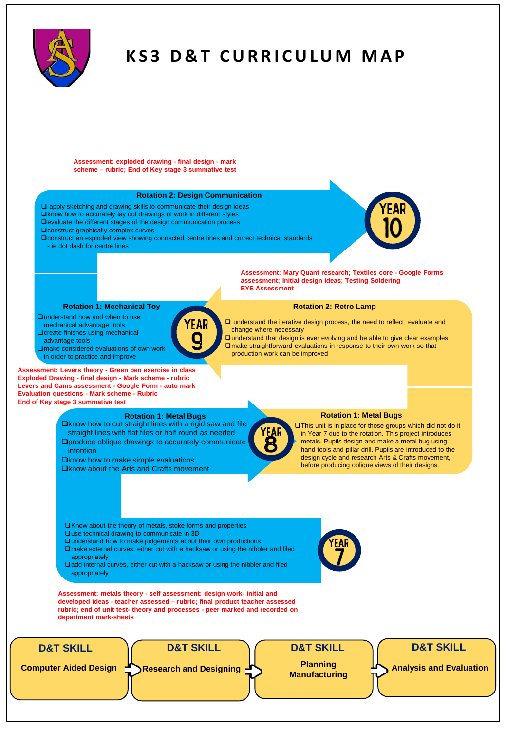

# **KS3 D&T CURRICULUM MAP**

**Assessment: exploded drawing - final design - mark scheme – rubric; End of Key stage 3 summative test**

# **Rotation 2: Design Communication**

- $\square$  apply sketching and drawing skills to communicate their design ideas
- $\square$ know how to accurately lay out drawings of work in different styles
- **ENTERT FOR THE REPORT OF THE STATE STATE OF THE DESIGN COMMUNICATION** process
- **Q** construct graphically complex curves
- **Q** construct an exploded view showing connected centre lines and correct technical standards
	- ie dot dash for centre lines

**Qunderstand how and when to use** mechanical advantage tools **Q** create finishes using mechanical

advantage tools



**Assessment: Mary Quant research; Textiles core - Google Forms assessment; Initial design ideas; Testing Soldering EYE Assessment** 

### **Rotation 2: Retro Lamp**

 $\square$  understand the iterative design process, the need to reflect, evaluate and change where necessary

 $\square$  understand that design is ever evolving and be able to give clear examples make straightforward evaluations in response to their own work so that production work can be improved

**Assessment: Levers theory - Green pen exercise in class** □make considered evaluations of own work in order to practice and improve

**Rotation 1: Mechanical Toy**

**Exploded Drawing - final design - Mark scheme - rubric Levers and Cams assessment - Google Form - auto mark Evaluation questions - Mark scheme - Rubric End of Key stage 3 summative test**

# **Rotation 1: Metal Bugs**

 $\Box$ know how to cut straight lines with a rigid saw and file straight lines with flat files or half round as needed **Oproduce oblique drawings to accurately communicate** intention

 $\Box$ know how to make simple evaluations **Qknow about the Arts and Crafts movement** 

#### **Rotation 1: Metal Bugs**

This unit is in place for those groups which did not do it in Year 7 due to the rotation. This project introduces metals. Pupils design and make a metal bug using hand tools and pillar drill. Pupils are introduced to the design cycle and research Arts & Crafts movement, before producing oblique views of their designs.

Know about the theory of metals, stoke forms and properties  $\square$  use technical drawing to communicate in 3D

- $\square$  understand how to make judgements about their own productions make external curves, either cut with a hacksaw or using the nibbler and filed
- appropriately
- add internal curves, either cut with a hacksaw or using the nibbler and filed appropriately

**Assessment: metals theory - self assessment; design work- initial and developed ideas - teacher assessed – rubric; final product teacher assessed rubric; end of unit test- theory and processes - peer marked and recorded on department mark-sheets**